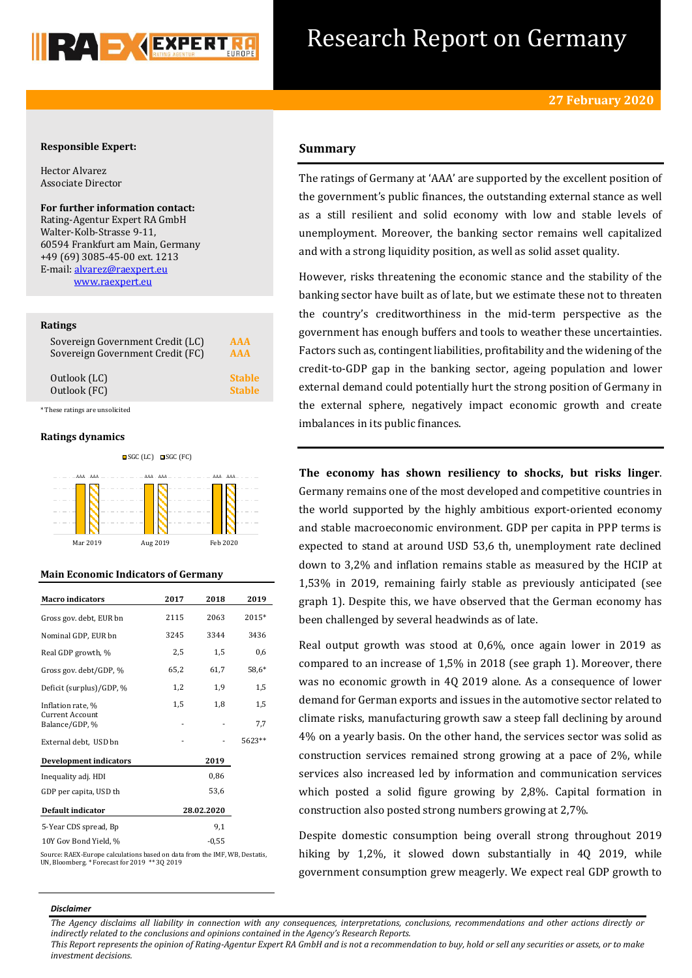

# Research Report on Germany

### **Responsible Expert:**

Hector Alvarez Associate Director

**For further information contact:** Rating-Agentur Expert RA GmbH Walter-Kolb-Strasse 9-11, 60594 Frankfurt am Main, Germany +49 (69) 3085-45-00 ext. 1213 E-mail[: alvarez@raexpert.eu](mailto:alvarez@raexpert.eu) [www.raexpert.eu](http://raexpert.eu/)

### **Ratings**

| Sovereign Government Credit (LC) | AAA           |
|----------------------------------|---------------|
| Sovereign Government Credit (FC) | <b>AAA</b>    |
| Outlook (LC)                     | <b>Stable</b> |
| Outlook (FC)                     | <b>Stable</b> |

\* These ratings are unsolicited

### **Ratings dynamics**



#### **Main Economic Indicators of Germany**

| <b>Macro</b> indicators                  | 2017 | 2018       | 2019    |
|------------------------------------------|------|------------|---------|
| Gross gov. debt, EUR bn                  | 2115 | 2063       | 2015*   |
| Nominal GDP, EUR bn                      | 3245 | 3344       | 3436    |
| Real GDP growth, %                       | 2,5  | 1,5        | 0,6     |
| Gross gov. debt/GDP, %                   | 65,2 | 61,7       | $58,6*$ |
| Deficit (surplus)/GDP, %                 | 1,2  | 1,9        | 1,5     |
| Inflation rate, %                        | 1,5  | 1,8        | 1,5     |
| <b>Current Account</b><br>Balance/GDP, % |      |            | 7,7     |
| External debt, USD bn                    |      |            | 5623**  |
| <b>Development indicators</b>            |      | 2019       |         |
| Inequality adj. HDI                      |      | 0,86       |         |
| GDP per capita, USD th                   |      | 53,6       |         |
| Default indicator                        |      | 28.02.2020 |         |
| 5-Year CDS spread, Bp                    |      | 9,1        |         |
| 10Y Gov Bond Yield. %                    |      | $-0.55$    |         |

Source: RAEX-Europe calculations based on data from the IMF, WB, Destatis, UN, Bloomberg. \* Forecast for 2019 \*\* 3Q 2019

# **Summary**

The ratings of Germany at 'AAA' are supported by the excellent position of the government's public finances, the outstanding external stance as well as a still resilient and solid economy with low and stable levels of unemployment. Moreover, the banking sector remains well capitalized and with a strong liquidity position, as well as solid asset quality.

However, risks threatening the economic stance and the stability of the banking sector have built as of late, but we estimate these not to threaten the country's creditworthiness in the mid-term perspective as the government has enough buffers and tools to weather these uncertainties. Factors such as, contingent liabilities, profitability and the widening of the credit-to-GDP gap in the banking sector, ageing population and lower external demand could potentially hurt the strong position of Germany in the external sphere, negatively impact economic growth and create imbalances in its public finances.

**The economy has shown resiliency to shocks, but risks linger**. Germany remains one of the most developed and competitive countries in the world supported by the highly ambitious export-oriented economy and stable macroeconomic environment. GDP per capita in PPP terms is expected to stand at around USD 53,6 th, unemployment rate declined down to 3,2% and inflation remains stable as measured by the HCIP at 1,53% in 2019, remaining fairly stable as previously anticipated (see graph 1). Despite this, we have observed that the German economy has been challenged by several headwinds as of late.

Real output growth was stood at 0,6%, once again lower in 2019 as compared to an increase of 1,5% in 2018 (see graph 1). Moreover, there was no economic growth in 4Q 2019 alone. As a consequence of lower demand for German exports and issues in the automotive sector related to climate risks, manufacturing growth saw a steep fall declining by around 4% on a yearly basis. On the other hand, the services sector was solid as construction services remained strong growing at a pace of 2%, while services also increased led by information and communication services which posted a solid figure growing by 2,8%. Capital formation in construction also posted strong numbers growing at 2,7%.

Despite domestic consumption being overall strong throughout 2019 hiking by 1,2%, it slowed down substantially in 40 2019, while government consumption grew meagerly. We expect real GDP growth to

### *Disclaimer*

*This Report represents the opinion of Rating-Agentur Expert RA GmbH and is not a recommendation to buy, hold or sell any securities or assets, or to make investment decisions.*

*The Agency disclaims all liability in connection with any consequences, interpretations, conclusions, recommendations and other actions directly or indirectly related to the conclusions and opinions contained in the Agency's Research Reports.*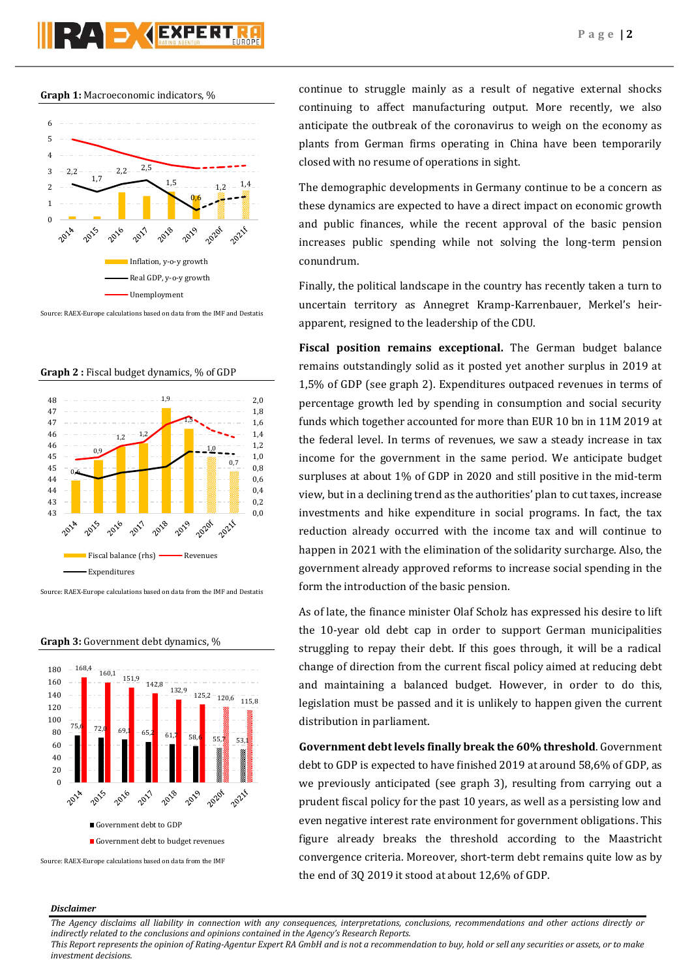# **PAD AEXPERT**

### **Graph 1:** Macroeconomic indicators, %



Source: RAEX-Europe calculations based on data from the IMF and Destatis





Source: RAEX-Europe calculations based on data from the IMF and Destatis



**Graph 3:** Government debt dynamics, %

continue to struggle mainly as a result of negative external shocks continuing to affect manufacturing output. More recently, we also anticipate the outbreak of the coronavirus to weigh on the economy as plants from German firms operating in China have been temporarily closed with no resume of operations in sight.

The demographic developments in Germany continue to be a concern as these dynamics are expected to have a direct impact on economic growth and public finances, while the recent approval of the basic pension increases public spending while not solving the long-term pension conundrum.

Finally, the political landscape in the country has recently taken a turn to uncertain territory as Annegret Kramp-Karrenbauer, Merkel's heirapparent, resigned to the leadership of the CDU.

**Fiscal position remains exceptional.** The German budget balance remains outstandingly solid as it posted yet another surplus in 2019 at 1,5% of GDP (see graph 2). Expenditures outpaced revenues in terms of percentage growth led by spending in consumption and social security funds which together accounted for more than EUR 10 bn in 11M 2019 at the federal level. In terms of revenues, we saw a steady increase in tax income for the government in the same period. We anticipate budget surpluses at about 1% of GDP in 2020 and still positive in the mid-term view, but in a declining trend as the authorities' plan to cut taxes, increase investments and hike expenditure in social programs. In fact, the tax reduction already occurred with the income tax and will continue to happen in 2021 with the elimination of the solidarity surcharge. Also, the government already approved reforms to increase social spending in the form the introduction of the basic pension.

As of late, the finance minister Olaf Scholz has expressed his desire to lift the 10-year old debt cap in order to support German municipalities struggling to repay their debt. If this goes through, it will be a radical change of direction from the current fiscal policy aimed at reducing debt and maintaining a balanced budget. However, in order to do this, legislation must be passed and it is unlikely to happen given the current distribution in parliament.

**Government debt levels finally break the 60% threshold**. Government debt to GDP is expected to have finished 2019 at around 58,6% of GDP, as we previously anticipated (see graph 3), resulting from carrying out a prudent fiscal policy for the past 10 years, as well as a persisting low and even negative interest rate environment for government obligations. This figure already breaks the threshold according to the Maastricht convergence criteria. Moreover, short-term debt remains quite low as by the end of 3Q 2019 it stood at about 12,6% of GDP.

### *Disclaimer*

*The Agency disclaims all liability in connection with any consequences, interpretations, conclusions, recommendations and other actions directly or indirectly related to the conclusions and opinions contained in the Agency's Research Reports.*

*This Report represents the opinion of Rating-Agentur Expert RA GmbH and is not a recommendation to buy, hold or sell any securities or assets, or to make investment decisions.*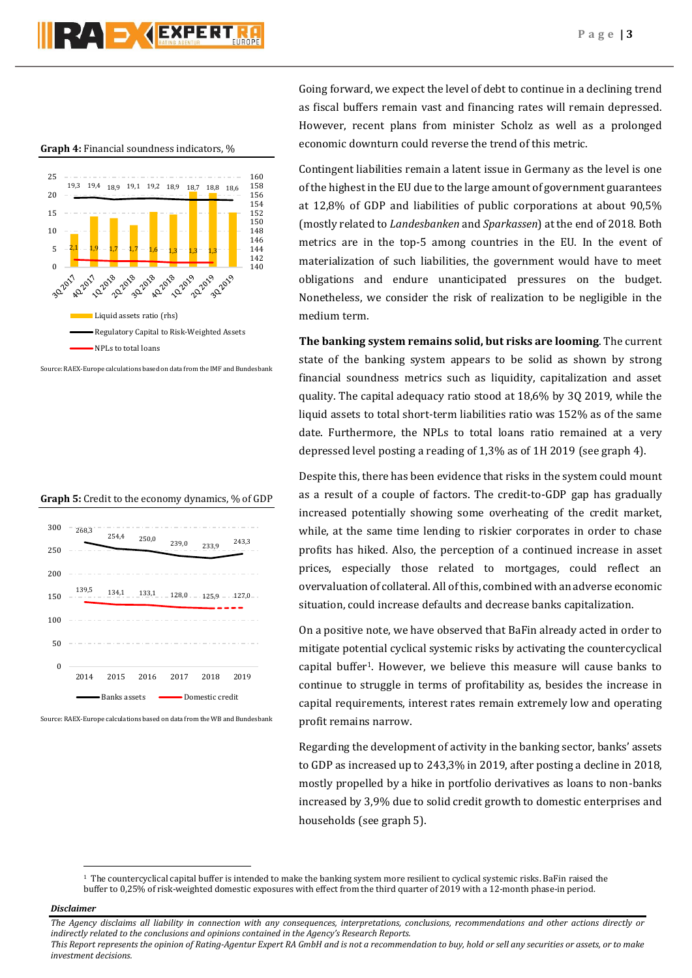# RA D **AEXPERT**

**Graph 4:** Financial soundness indicators, %



Source: RAEX-Europe calculations based on data from the IMF and Bundesbank





Source: RAEX-Europe calculations based on data from the WB and Bundesbank

Going forward, we expect the level of debt to continue in a declining trend as fiscal buffers remain vast and financing rates will remain depressed. However, recent plans from minister Scholz as well as a prolonged economic downturn could reverse the trend of this metric.

Contingent liabilities remain a latent issue in Germany as the level is one of the highest in the EU due to the large amount of government guarantees at 12,8% of GDP and liabilities of public corporations at about 90,5% (mostly related to *Landesbanken* and *Sparkassen*) at the end of 2018. Both metrics are in the top-5 among countries in the EU. In the event of materialization of such liabilities, the government would have to meet obligations and endure unanticipated pressures on the budget. Nonetheless, we consider the risk of realization to be negligible in the medium term.

**The banking system remains solid, but risks are looming**. The current state of the banking system appears to be solid as shown by strong financial soundness metrics such as liquidity, capitalization and asset quality. The capital adequacy ratio stood at 18,6% by 3Q 2019, while the liquid assets to total short-term liabilities ratio was 152% as of the same date. Furthermore, the NPLs to total loans ratio remained at a very depressed level posting a reading of 1,3% as of 1H 2019 (see graph 4).

Despite this, there has been evidence that risks in the system could mount as a result of a couple of factors. The credit-to-GDP gap has gradually increased potentially showing some overheating of the credit market, while, at the same time lending to riskier corporates in order to chase profits has hiked. Also, the perception of a continued increase in asset prices, especially those related to mortgages, could reflect an overvaluation of collateral. All of this, combined with an adverse economic situation, could increase defaults and decrease banks capitalization.

On a positive note, we have observed that BaFin already acted in order to mitigate potential cyclical systemic risks by activating the countercyclical capital buffer<sup>1</sup>. However, we believe this measure will cause banks to continue to struggle in terms of profitability as, besides the increase in capital requirements, interest rates remain extremely low and operating profit remains narrow.

Regarding the development of activity in the banking sector, banks' assets to GDP as increased up to 243,3% in 2019, after posting a decline in 2018, mostly propelled by a hike in portfolio derivatives as loans to non-banks increased by 3,9% due to solid credit growth to domestic enterprises and households (see graph 5).

### *Disclaimer*

 $\overline{a}$ 

*The Agency disclaims all liability in connection with any consequences, interpretations, conclusions, recommendations and other actions directly or indirectly related to the conclusions and opinions contained in the Agency's Research Reports.*

*This Report represents the opinion of Rating-Agentur Expert RA GmbH and is not a recommendation to buy, hold or sell any securities or assets, or to make investment decisions.*

<sup>1</sup> The countercyclical capital buffer is intended to make the banking system more resilient to cyclical systemic risks. BaFin raised the buffer to 0,25% of risk-weighted domestic exposures with effect from the third quarter of 2019 with a 12-month phase-in period.